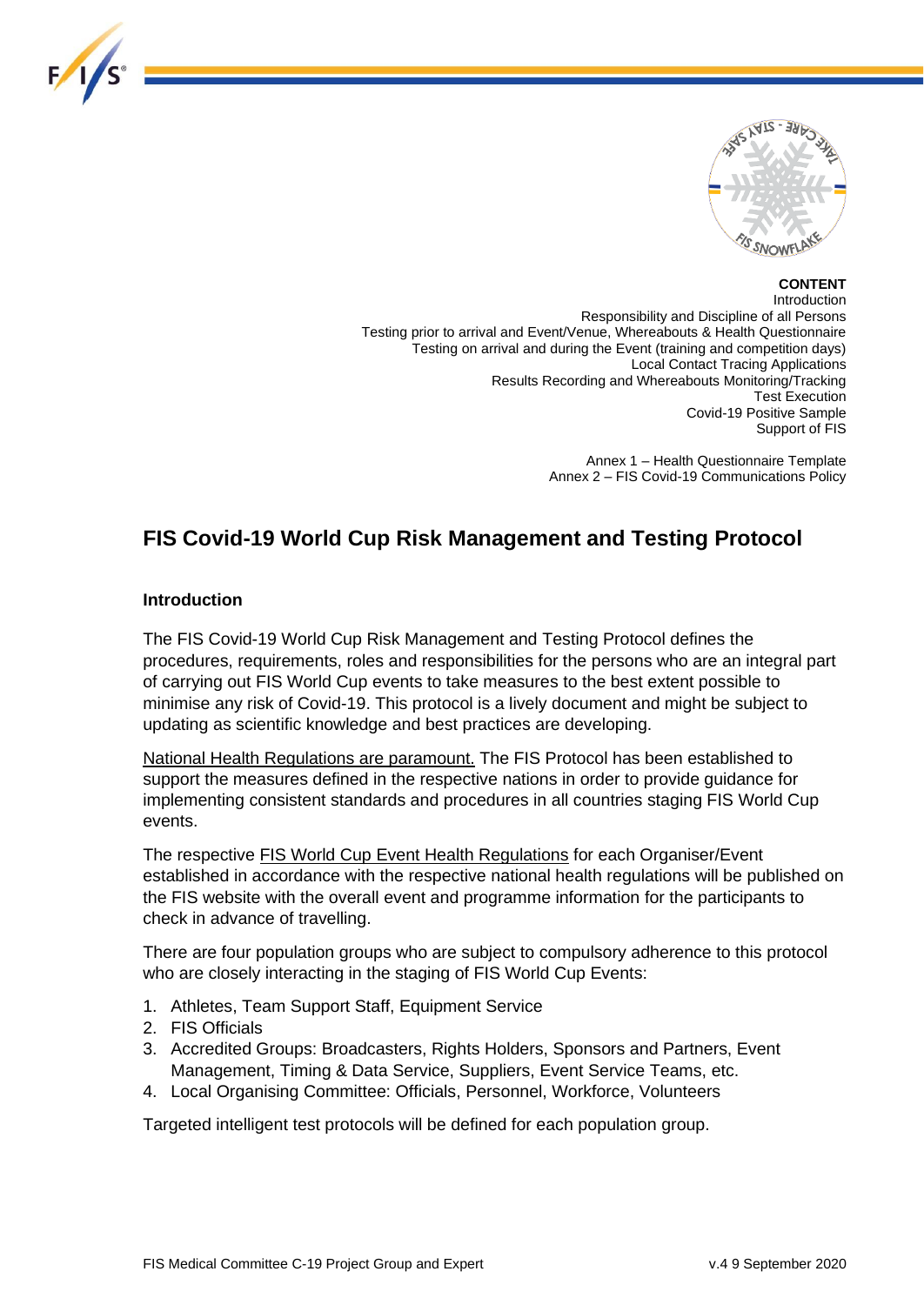

# **CONTENT**

Introduction Responsibility and Discipline of all Persons Testing prior to arrival and Event/Venue, Whereabouts & Health Questionnaire .<br>Testing on arrival and during the Event (training and competition days) Local Contact Tracing Applications Results Recording and Whereabouts Monitoring/Tracking Test Execution Covid-19 Positive Sample Support of FIS

> Annex 1 – Health Questionnaire Template Annex 2 – FIS Covid-19 Communications Policy

# **FIS Covid-19 World Cup Risk Management and Testing Protocol**

#### **Introduction**

 $F/I/S^{\circ}$ 

The FIS Covid-19 World Cup Risk Management and Testing Protocol defines the procedures, requirements, roles and responsibilities for the persons who are an integral part of carrying out FIS World Cup events to take measures to the best extent possible to minimise any risk of Covid-19. This protocol is a lively document and might be subject to updating as scientific knowledge and best practices are developing.

National Health Regulations are paramount. The FIS Protocol has been established to support the measures defined in the respective nations in order to provide guidance for implementing consistent standards and procedures in all countries staging FIS World Cup events.

The respective FIS World Cup Event Health Regulations for each Organiser/Event established in accordance with the respective national health regulations will be published on the FIS website with the overall event and programme information for the participants to check in advance of travelling.

There are four population groups who are subject to compulsory adherence to this protocol who are closely interacting in the staging of FIS World Cup Events:

- 1. Athletes, Team Support Staff, Equipment Service
- 2. FIS Officials
- 3. Accredited Groups: Broadcasters, Rights Holders, Sponsors and Partners, Event Management, Timing & Data Service, Suppliers, Event Service Teams, etc.
- 4. Local Organising Committee: Officials, Personnel, Workforce, Volunteers

Targeted intelligent test protocols will be defined for each population group.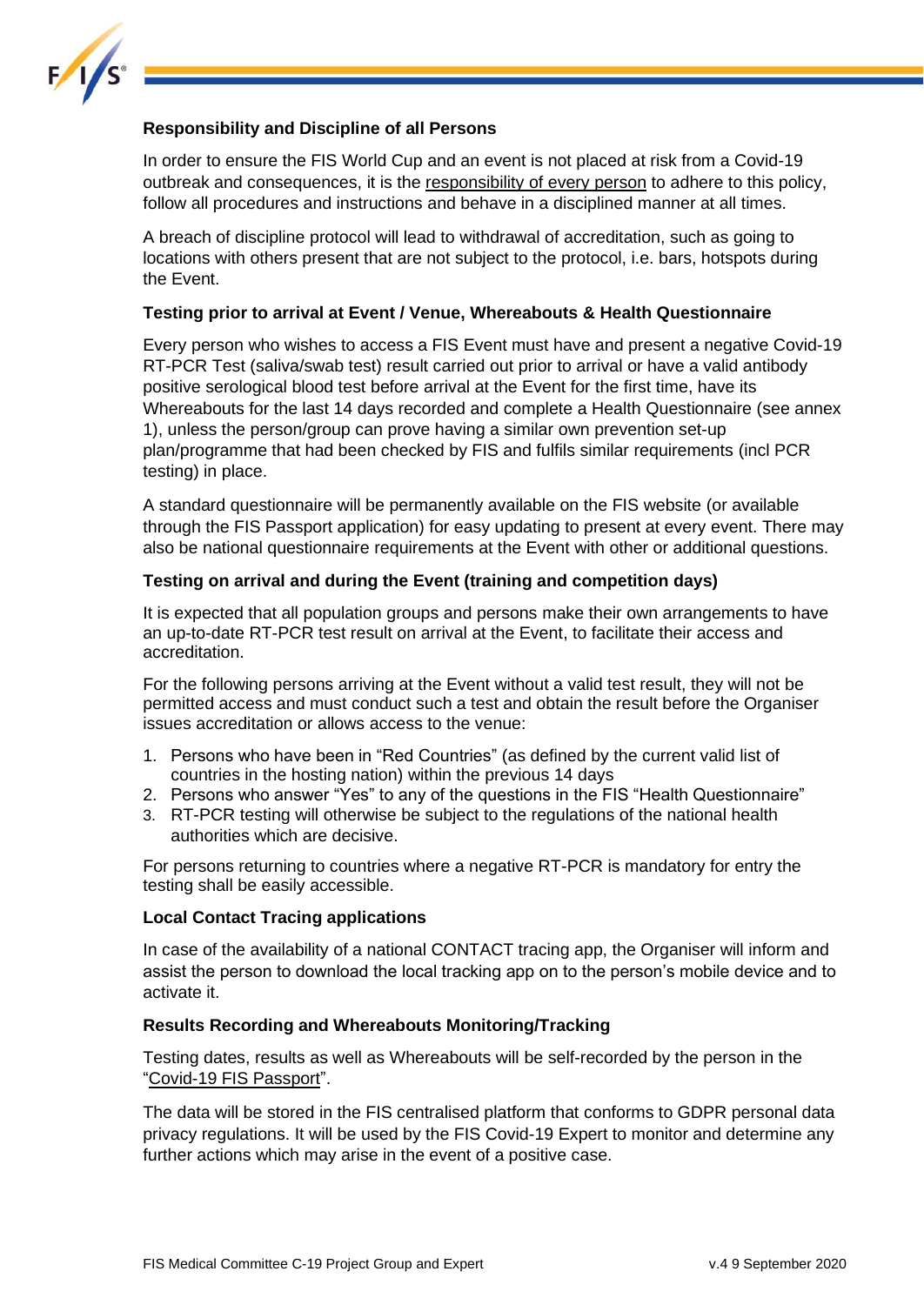

# **Responsibility and Discipline of all Persons**

In order to ensure the FIS World Cup and an event is not placed at risk from a Covid-19 outbreak and consequences, it is the responsibility of every person to adhere to this policy, follow all procedures and instructions and behave in a disciplined manner at all times.

A breach of discipline protocol will lead to withdrawal of accreditation, such as going to locations with others present that are not subject to the protocol, i.e. bars, hotspots during the Event.

#### **Testing prior to arrival at Event / Venue, Whereabouts & Health Questionnaire**

Every person who wishes to access a FIS Event must have and present a negative Covid-19 RT-PCR Test (saliva/swab test) result carried out prior to arrival or have a valid antibody positive serological blood test before arrival at the Event for the first time, have its Whereabouts for the last 14 days recorded and complete a Health Questionnaire (see annex 1), unless the person/group can prove having a similar own prevention set-up plan/programme that had been checked by FIS and fulfils similar requirements (incl PCR testing) in place.

A standard questionnaire will be permanently available on the FIS website (or available through the FIS Passport application) for easy updating to present at every event. There may also be national questionnaire requirements at the Event with other or additional questions.

#### **Testing on arrival and during the Event (training and competition days)**

It is expected that all population groups and persons make their own arrangements to have an up-to-date RT-PCR test result on arrival at the Event, to facilitate their access and accreditation.

For the following persons arriving at the Event without a valid test result, they will not be permitted access and must conduct such a test and obtain the result before the Organiser issues accreditation or allows access to the venue:

- 1. Persons who have been in "Red Countries" (as defined by the current valid list of countries in the hosting nation) within the previous 14 days
- 2. Persons who answer "Yes" to any of the questions in the FIS "Health Questionnaire"
- 3. RT-PCR testing will otherwise be subject to the regulations of the national health authorities which are decisive.

For persons returning to countries where a negative RT-PCR is mandatory for entry the testing shall be easily accessible.

## **Local Contact Tracing applications**

In case of the availability of a national CONTACT tracing app, the Organiser will inform and assist the person to download the local tracking app on to the person's mobile device and to activate it.

#### **Results Recording and Whereabouts Monitoring/Tracking**

Testing dates, results as well as Whereabouts will be self-recorded by the person in the "Covid-19 FIS Passport".

The data will be stored in the FIS centralised platform that conforms to GDPR personal data privacy regulations. It will be used by the FIS Covid-19 Expert to monitor and determine any further actions which may arise in the event of a positive case.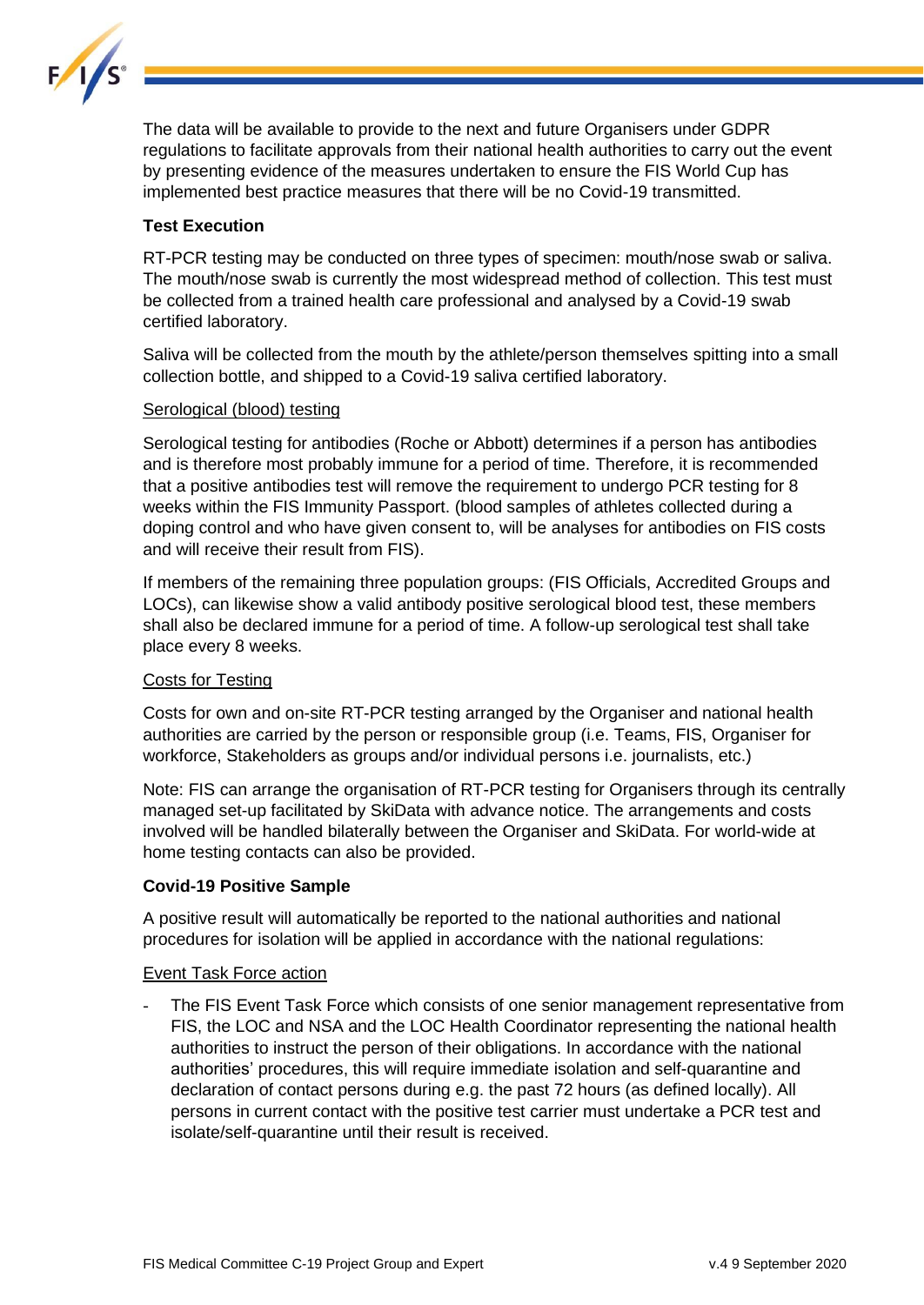

The data will be available to provide to the next and future Organisers under GDPR regulations to facilitate approvals from their national health authorities to carry out the event by presenting evidence of the measures undertaken to ensure the FIS World Cup has implemented best practice measures that there will be no Covid-19 transmitted.

# **Test Execution**

RT-PCR testing may be conducted on three types of specimen: mouth/nose swab or saliva. The mouth/nose swab is currently the most widespread method of collection. This test must be collected from a trained health care professional and analysed by a Covid-19 swab certified laboratory.

Saliva will be collected from the mouth by the athlete/person themselves spitting into a small collection bottle, and shipped to a Covid-19 saliva certified laboratory.

## Serological (blood) testing

Serological testing for antibodies (Roche or Abbott) determines if a person has antibodies and is therefore most probably immune for a period of time. Therefore, it is recommended that a positive antibodies test will remove the requirement to undergo PCR testing for 8 weeks within the FIS Immunity Passport. (blood samples of athletes collected during a doping control and who have given consent to, will be analyses for antibodies on FIS costs and will receive their result from FIS).

If members of the remaining three population groups: (FIS Officials, Accredited Groups and LOCs), can likewise show a valid antibody positive serological blood test, these members shall also be declared immune for a period of time. A follow-up serological test shall take place every 8 weeks.

## Costs for Testing

Costs for own and on-site RT-PCR testing arranged by the Organiser and national health authorities are carried by the person or responsible group (i.e. Teams, FIS, Organiser for workforce, Stakeholders as groups and/or individual persons i.e. journalists, etc.)

Note: FIS can arrange the organisation of RT-PCR testing for Organisers through its centrally managed set-up facilitated by SkiData with advance notice. The arrangements and costs involved will be handled bilaterally between the Organiser and SkiData. For world-wide at home testing contacts can also be provided.

#### **Covid-19 Positive Sample**

A positive result will automatically be reported to the national authorities and national procedures for isolation will be applied in accordance with the national regulations:

#### Event Task Force action

The FIS Event Task Force which consists of one senior management representative from FIS, the LOC and NSA and the LOC Health Coordinator representing the national health authorities to instruct the person of their obligations. In accordance with the national authorities' procedures, this will require immediate isolation and self-quarantine and declaration of contact persons during e.g. the past 72 hours (as defined locally). All persons in current contact with the positive test carrier must undertake a PCR test and isolate/self-quarantine until their result is received.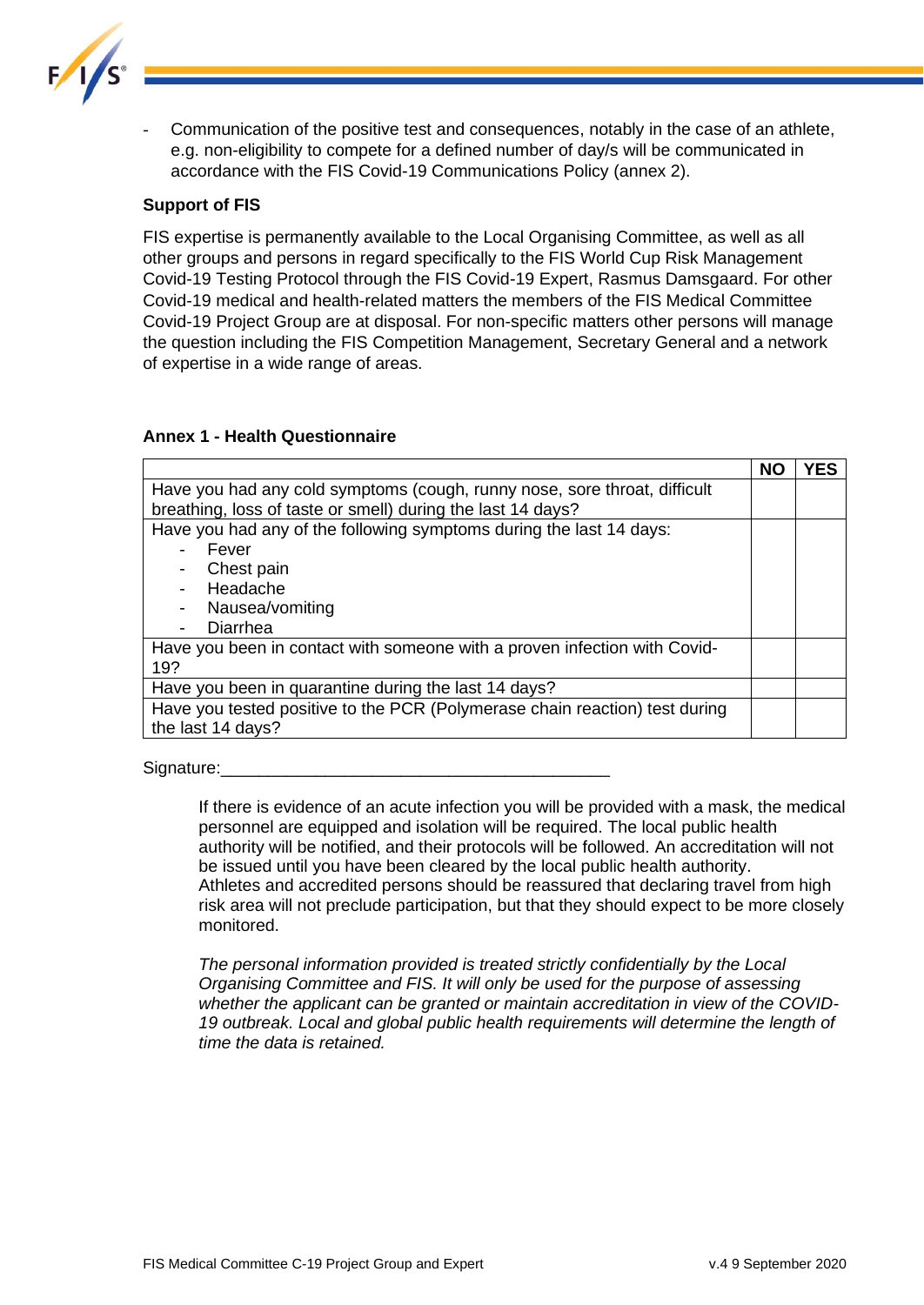

Communication of the positive test and consequences, notably in the case of an athlete, e.g. non-eligibility to compete for a defined number of day/s will be communicated in accordance with the FIS Covid-19 Communications Policy (annex 2).

## **Support of FIS**

FIS expertise is permanently available to the Local Organising Committee, as well as all other groups and persons in regard specifically to the FIS World Cup Risk Management Covid-19 Testing Protocol through the FIS Covid-19 Expert, Rasmus Damsgaard. For other Covid-19 medical and health-related matters the members of the FIS Medical Committee Covid-19 Project Group are at disposal. For non-specific matters other persons will manage the question including the FIS Competition Management, Secretary General and a network of expertise in a wide range of areas.

## **Annex 1 - Health Questionnaire**

|                                                                             | <b>NO</b> | YES |
|-----------------------------------------------------------------------------|-----------|-----|
| Have you had any cold symptoms (cough, runny nose, sore throat, difficult   |           |     |
| breathing, loss of taste or smell) during the last 14 days?                 |           |     |
| Have you had any of the following symptoms during the last 14 days:         |           |     |
| Fever                                                                       |           |     |
| Chest pain                                                                  |           |     |
| Headache                                                                    |           |     |
| Nausea/vomiting                                                             |           |     |
| Diarrhea                                                                    |           |     |
| Have you been in contact with someone with a proven infection with Covid-   |           |     |
| 19?                                                                         |           |     |
| Have you been in quarantine during the last 14 days?                        |           |     |
| Have you tested positive to the PCR (Polymerase chain reaction) test during |           |     |
| the last 14 days?                                                           |           |     |

Signature:

If there is evidence of an acute infection you will be provided with a mask, the medical personnel are equipped and isolation will be required. The local public health authority will be notified, and their protocols will be followed. An accreditation will not be issued until you have been cleared by the local public health authority. Athletes and accredited persons should be reassured that declaring travel from high risk area will not preclude participation, but that they should expect to be more closely monitored.

*The personal information provided is treated strictly confidentially by the Local Organising Committee and FIS. It will only be used for the purpose of assessing whether the applicant can be granted or maintain accreditation in view of the COVID-*19 outbreak. Local and global public health requirements will determine the length of *time the data is retained.*